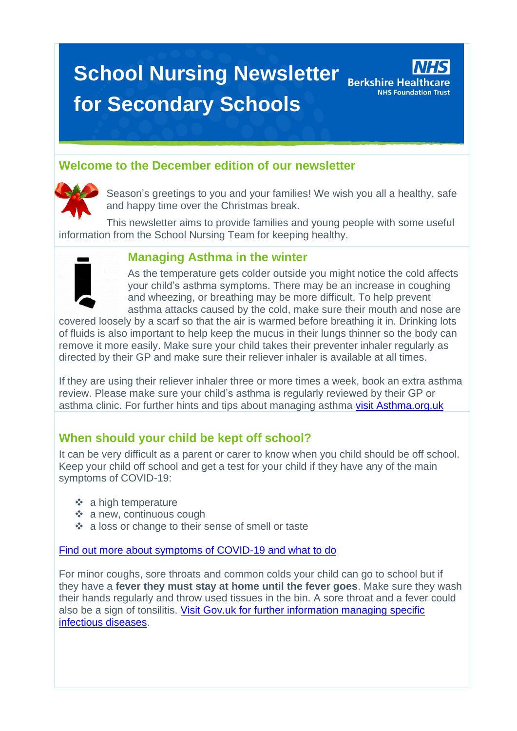# **School Nursing Newsletter** Berkshire Healthcare **for Secondary Schools**



## **Welcome to the December edition of our newsletter**



Season's greetings to you and your families! We wish you all a healthy, safe and happy time over the Christmas break.

This newsletter aims to provide families and young people with some useful information from the School Nursing Team for keeping healthy.



#### **Managing Asthma in the winter**

As the temperature gets colder outside you might notice the cold affects your child's asthma symptoms. There may be an increase in coughing and wheezing, or breathing may be more difficult. To help prevent asthma attacks caused by the cold, make sure their mouth and nose are

covered loosely by a scarf so that the air is warmed before breathing it in. Drinking lots of fluids is also important to help keep the mucus in their lungs thinner so the body can remove it more easily. Make sure your child takes their preventer inhaler regularly as directed by their GP and make sure their reliever inhaler is available at all times.

If they are using their reliever inhaler three or more times a week, book an extra asthma review. Please make sure your child's asthma is regularly reviewed by their GP or asthma clinic. For further hints and tips about managing asthma [visit Asthma.org.uk](https://www.asthma.org.uk/advice/triggers/weather/#cold)

### **When should your child be kept off school?**

It can be very difficult as a parent or carer to know when you child should be off school. Keep your child off school and get a test for your child if they have any of the main symptoms of COVID-19:

- ❖ a high temperature
- ❖ a new, continuous cough
- ❖ a loss or change to their sense of smell or taste

[Find out more about symptoms of COVID-19 and what to do](https://www.nhs.uk/conditions/coronavirus-covid-19/symptoms/main-symptoms/)

For minor coughs, sore throats and common colds your child can go to school but if they have a **fever they must stay at home until the fever goes**. Make sure they wash their hands regularly and throw used tissues in the bin. A sore throat and a fever could also be a sign of tonsilitis. [Visit Gov.uk for further information managing specific](https://www.gov.uk/government/publications/health-protection-in-schools-and-other-childcare-facilities/chapter-9-managing-specific-infectious-diseases)  [infectious diseases.](https://www.gov.uk/government/publications/health-protection-in-schools-and-other-childcare-facilities/chapter-9-managing-specific-infectious-diseases)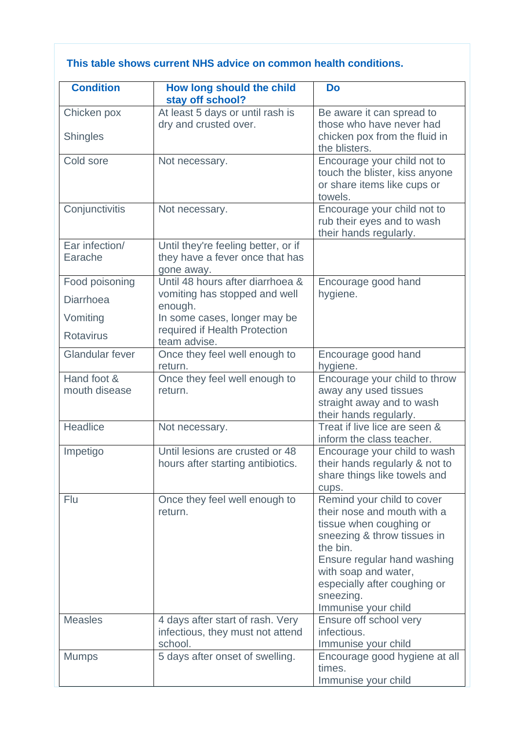#### **This table shows current NHS advice on common health conditions.**

| How long should the child           | <b>Do</b>                                                                                                                                                                                                                                                                                                                                                                                                     |
|-------------------------------------|---------------------------------------------------------------------------------------------------------------------------------------------------------------------------------------------------------------------------------------------------------------------------------------------------------------------------------------------------------------------------------------------------------------|
| At least 5 days or until rash is    | Be aware it can spread to                                                                                                                                                                                                                                                                                                                                                                                     |
|                                     | those who have never had                                                                                                                                                                                                                                                                                                                                                                                      |
|                                     | chicken pox from the fluid in<br>the blisters.                                                                                                                                                                                                                                                                                                                                                                |
| Not necessary.                      | Encourage your child not to                                                                                                                                                                                                                                                                                                                                                                                   |
|                                     | touch the blister, kiss anyone                                                                                                                                                                                                                                                                                                                                                                                |
|                                     | or share items like cups or<br>towels.                                                                                                                                                                                                                                                                                                                                                                        |
| Not necessary.                      | Encourage your child not to                                                                                                                                                                                                                                                                                                                                                                                   |
|                                     | rub their eyes and to wash<br>their hands regularly.                                                                                                                                                                                                                                                                                                                                                          |
| Until they're feeling better, or if |                                                                                                                                                                                                                                                                                                                                                                                                               |
|                                     |                                                                                                                                                                                                                                                                                                                                                                                                               |
|                                     | Encourage good hand                                                                                                                                                                                                                                                                                                                                                                                           |
| vomiting has stopped and well       | hygiene.                                                                                                                                                                                                                                                                                                                                                                                                      |
| enough.                             |                                                                                                                                                                                                                                                                                                                                                                                                               |
|                                     |                                                                                                                                                                                                                                                                                                                                                                                                               |
| team advise.                        |                                                                                                                                                                                                                                                                                                                                                                                                               |
| Once they feel well enough to       | Encourage good hand                                                                                                                                                                                                                                                                                                                                                                                           |
|                                     | hygiene.                                                                                                                                                                                                                                                                                                                                                                                                      |
|                                     | Encourage your child to throw<br>away any used tissues                                                                                                                                                                                                                                                                                                                                                        |
|                                     | straight away and to wash                                                                                                                                                                                                                                                                                                                                                                                     |
|                                     | their hands regularly.                                                                                                                                                                                                                                                                                                                                                                                        |
| Not necessary.                      | Treat if live lice are seen &                                                                                                                                                                                                                                                                                                                                                                                 |
|                                     | inform the class teacher.<br>Encourage your child to wash                                                                                                                                                                                                                                                                                                                                                     |
| hours after starting antibiotics.   | their hands regularly & not to                                                                                                                                                                                                                                                                                                                                                                                |
|                                     | share things like towels and                                                                                                                                                                                                                                                                                                                                                                                  |
|                                     | cups.                                                                                                                                                                                                                                                                                                                                                                                                         |
|                                     | Remind your child to cover<br>their nose and mouth with a                                                                                                                                                                                                                                                                                                                                                     |
|                                     | tissue when coughing or                                                                                                                                                                                                                                                                                                                                                                                       |
|                                     | sneezing & throw tissues in                                                                                                                                                                                                                                                                                                                                                                                   |
|                                     | the bin.                                                                                                                                                                                                                                                                                                                                                                                                      |
|                                     | Ensure regular hand washing<br>with soap and water,                                                                                                                                                                                                                                                                                                                                                           |
|                                     | especially after coughing or                                                                                                                                                                                                                                                                                                                                                                                  |
|                                     | sneezing.                                                                                                                                                                                                                                                                                                                                                                                                     |
|                                     | Immunise your child                                                                                                                                                                                                                                                                                                                                                                                           |
|                                     | Ensure off school very<br>infectious.                                                                                                                                                                                                                                                                                                                                                                         |
| school.                             | Immunise your child                                                                                                                                                                                                                                                                                                                                                                                           |
|                                     |                                                                                                                                                                                                                                                                                                                                                                                                               |
| 5 days after onset of swelling.     | Encourage good hygiene at all<br>times.                                                                                                                                                                                                                                                                                                                                                                       |
|                                     | stay off school?<br>dry and crusted over.<br>they have a fever once that has<br>gone away.<br>Until 48 hours after diarrhoea &<br>In some cases, longer may be<br>required if Health Protection<br>return.<br>Once they feel well enough to<br>return.<br>Until lesions are crusted or 48<br>Once they feel well enough to<br>return.<br>4 days after start of rash. Very<br>infectious, they must not attend |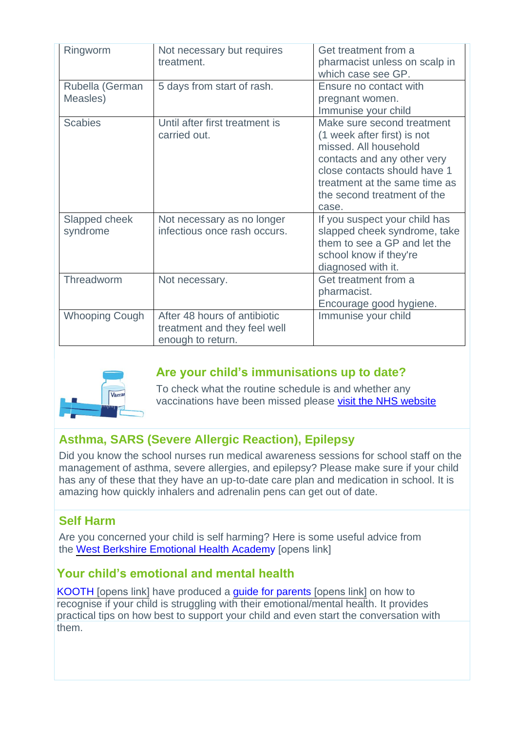| Ringworm                    | Not necessary but requires<br>treatment.                                          | Get treatment from a<br>pharmacist unless on scalp in<br>which case see GP.                                                                                                                                                |
|-----------------------------|-----------------------------------------------------------------------------------|----------------------------------------------------------------------------------------------------------------------------------------------------------------------------------------------------------------------------|
| Rubella (German<br>Measles) | 5 days from start of rash.                                                        | Ensure no contact with<br>pregnant women.<br>Immunise your child                                                                                                                                                           |
| <b>Scabies</b>              | Until after first treatment is<br>carried out.                                    | Make sure second treatment<br>(1 week after first) is not<br>missed. All household<br>contacts and any other very<br>close contacts should have 1<br>treatment at the same time as<br>the second treatment of the<br>case. |
| Slapped cheek<br>syndrome   | Not necessary as no longer<br>infectious once rash occurs.                        | If you suspect your child has<br>slapped cheek syndrome, take<br>them to see a GP and let the<br>school know if they're<br>diagnosed with it.                                                                              |
| Threadworm                  | Not necessary.                                                                    | Get treatment from a<br>pharmacist.<br>Encourage good hygiene.                                                                                                                                                             |
| <b>Whooping Cough</b>       | After 48 hours of antibiotic<br>treatment and they feel well<br>enough to return. | Immunise your child                                                                                                                                                                                                        |



# **Are your child's immunisations up to date?**

To check what the routine schedule is and whether any vaccinations have been missed please [visit](https://www.nhs.uk/conditions/vaccinations/nhs-vaccinations-and-when-to-have-them/) the NHS website

# **Asthma, SARS (Severe Allergic Reaction), Epilepsy**

Did you know the school nurses run medical awareness sessions for school staff on the management of asthma, severe allergies, and epilepsy? Please make sure if your child has any of these that they have an up-to-date care plan and medication in school. It is amazing how quickly inhalers and adrenalin pens can get out of date.

### **Self Harm**

Are you concerned your child is self harming? Here is some useful advice from the [West Berkshire Emotional Health Academ](https://www.berkshirehealthcare.nhs.uk/media/109513901/self-harm-information.pdf)y [opens link]

### **Your child's emotional and mental health**

KOOTH [\[opens link\]](https://www.berkshirehealthcare.nhs.uk/media/109513902/abut-kooth.pdf) have produced a [guide for parents](https://www.berkshirehealthcare.nhs.uk/media/109513903/kooth-guide.pdf) [opens link] on how to recognise if your child is struggling with their emotional/mental health. It provides practical tips on how best to support your child and even start the conversation with them.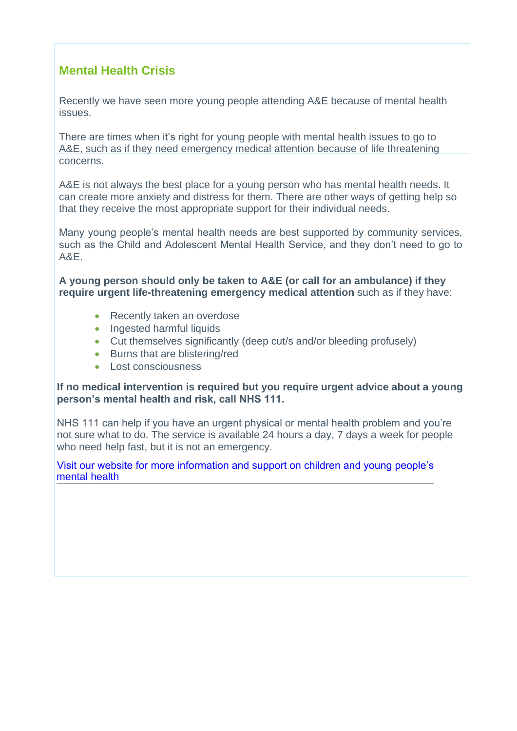# **Mental Health Crisis**

Recently we have seen more young people attending A&E because of mental health issues.

There are times when it's right for young people with mental health issues to go to A&E, such as if they need emergency medical attention because of life threatening concerns.

A&E is not always the best place for a young person who has mental health needs. It can create more anxiety and distress for them. There are other ways of getting help so that they receive the most appropriate support for their individual needs.

Many young people's mental health needs are best supported by community services, such as the Child and Adolescent Mental Health Service, and they don't need to go to A&E.

**A young person should only be taken to A&E (or call for an ambulance) if they require urgent life-threatening emergency medical attention** such as if they have:

- Recently taken an overdose
- Ingested harmful liquids
- Cut themselves significantly (deep cut/s and/or bleeding profusely)
- Burns that are blistering/red
- Lost consciousness

#### **If no medical intervention is required but you require urgent advice about a young person's mental health and risk, call NHS 111.**

NHS 111 can help if you have an urgent physical or mental health problem and you're not sure what to do. The service is available 24 hours a day, 7 days a week for people who need help fast, but it is not an emergency.

#### [Visit our website for more information and support on children and young people's](https://cypf.berkshirehealthcare.nhs.uk/support-and-advice/mental-and-emotional-health/)  mental health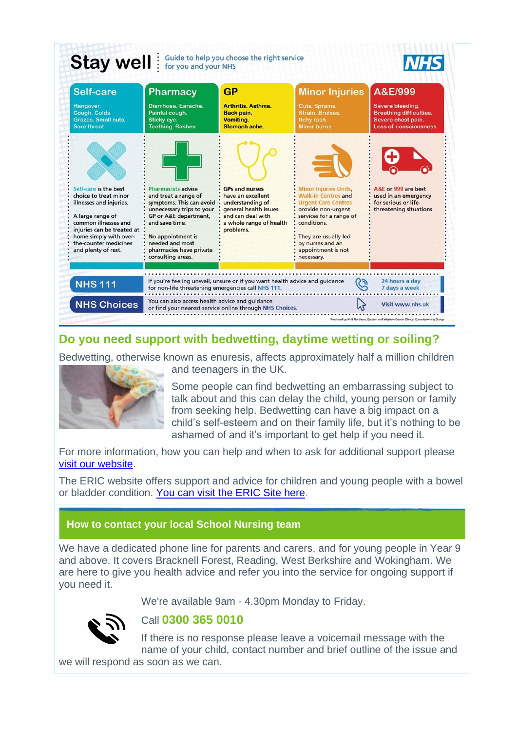

## **Do you need support with bedwetting, daytime wetting or soiling?**

Bedwetting, otherwise known as enuresis, affects approximately half a million children



and teenagers in the UK.

Some people can find bedwetting an embarrassing subject to talk about and this can delay the child, young person or family from seeking help. Bedwetting can have a big impact on a child's self-esteem and on their family life, but it's nothing to be ashamed of and it's important to get help if you need it.

For more information, how you can help and when to ask for additional support please [visit our website.](https://cypf.berkshirehealthcare.nhs.uk/support-and-advice/feeding-and-toilet-training/bedwetting/)

The ERIC website offers support and advice for children and young people with a bowel or bladder condition. [You can visit the ERIC Site here.](https://www.eric.org.uk/)

#### **How to contact your local School Nursing team**

We have a dedicated phone line for parents and carers, and for young people in Year 9 and above. It covers Bracknell Forest, Reading, West Berkshire and Wokingham. We are here to give you health advice and refer you into the service for ongoing support if you need it.

We're available 9am - 4.30pm Monday to Friday.



#### Call **[0300 365 0010](tel:0300-365-0010)**

If there is no response please leave a voicemail message with the name of your child, contact number and brief outline of the issue and

we will respond as soon as we can.